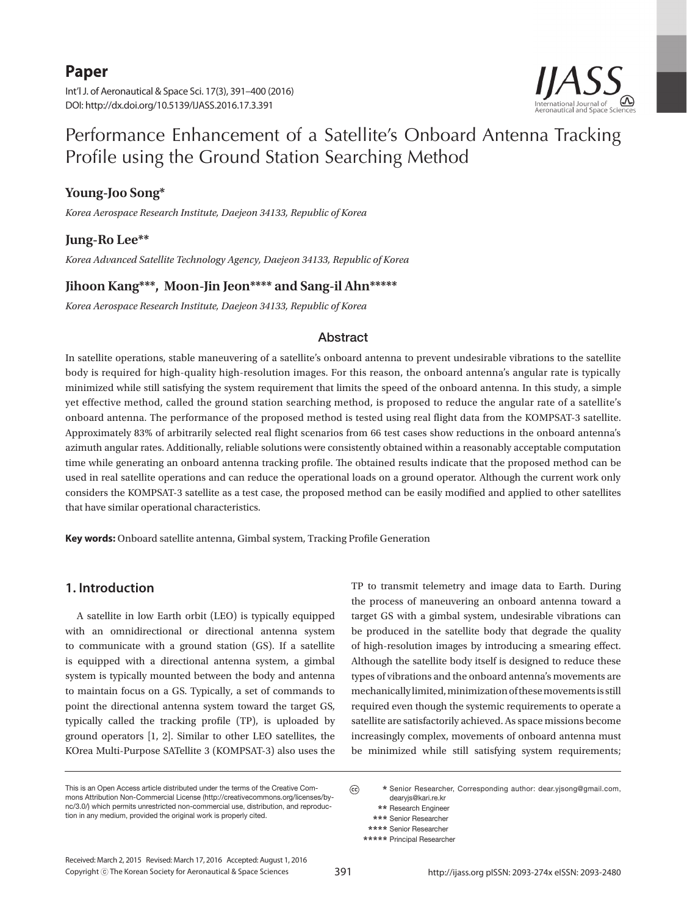## **Paper**

Int'l J. of Aeronautical & Space Sci. 17(3), 391–400 (2016) DOI: http://dx.doi.org/10.5139/IJASS.2016.17.3.391



# Performance Enhancement of a Satellite's Onboard Antenna Tracking Profile using the Ground Station Searching Method

### **Young-Joo Song\***

*Korea Aerospace Research Institute, Daejeon 34133, Republic of Korea* 

### **Jung-Ro Lee\*\***

*Korea Advanced Satellite Technology Agency, Daejeon 34133, Republic of Korea* 

### **Jihoon Kang\*\*\*, Moon-Jin Jeon\*\*\*\* and Sang-il Ahn\*\*\*\*\***

*Korea Aerospace Research Institute, Daejeon 34133, Republic of Korea* 

### Abstract

In satellite operations, stable maneuvering of a satellite's onboard antenna to prevent undesirable vibrations to the satellite body is required for high-quality high-resolution images. For this reason, the onboard antenna's angular rate is typically minimized while still satisfying the system requirement that limits the speed of the onboard antenna. In this study, a simple yet effective method, called the ground station searching method, is proposed to reduce the angular rate of a satellite's onboard antenna. The performance of the proposed method is tested using real flight data from the KOMPSAT-3 satellite. Approximately 83% of arbitrarily selected real flight scenarios from 66 test cases show reductions in the onboard antenna's azimuth angular rates. Additionally, reliable solutions were consistently obtained within a reasonably acceptable computation time while generating an onboard antenna tracking profile. The obtained results indicate that the proposed method can be used in real satellite operations and can reduce the operational loads on a ground operator. Although the current work only considers the KOMPSAT-3 satellite as a test case, the proposed method can be easily modified and applied to other satellites that have similar operational characteristics.

**Key words:** Onboard satellite antenna, Gimbal system, Tracking Profile Generation

### **1. Introduction**

A satellite in low Earth orbit (LEO) is typically equipped with an omnidirectional or directional antenna system to communicate with a ground station (GS). If a satellite is equipped with a directional antenna system, a gimbal system is typically mounted between the body and antenna to maintain focus on a GS. Typically, a set of commands to point the directional antenna system toward the target GS, typically called the tracking profile (TP), is uploaded by ground operators [1, 2]. Similar to other LEO satellites, the KOrea Multi-Purpose SATellite 3 (KOMPSAT-3) also uses the

TP to transmit telemetry and image data to Earth. During the process of maneuvering an onboard antenna toward a target GS with a gimbal system, undesirable vibrations can be produced in the satellite body that degrade the quality of high-resolution images by introducing a smearing effect. Although the satellite body itself is designed to reduce these types of vibrations and the onboard antenna's movements are mechanically limited, minimization of these movements is still required even though the systemic requirements to operate a satellite are satisfactorily achieved. As space missions become increasingly complex, movements of onboard antenna must be minimized while still satisfying system requirements;

This is an Open Access article distributed under the terms of the Creative Commons Attribution Non-Commercial License (http://creativecommons.org/licenses/bync/3.0/) which permits unrestricted non-commercial use, distribution, and reproduction in any medium, provided the original work is properly cited.

 $\odot$  **\*** Senior Researcher, Corresponding author: dear.yjsong@gmail.com, dearyjs@kari.re.kr

 **<sup>\*\*</sup>** Research Engineer  **\*\*\*** Senior Researcher

 **<sup>\*\*\*\*</sup>** Senior Researcher

 **<sup>\*\*\*\*\*</sup>** Principal Researcher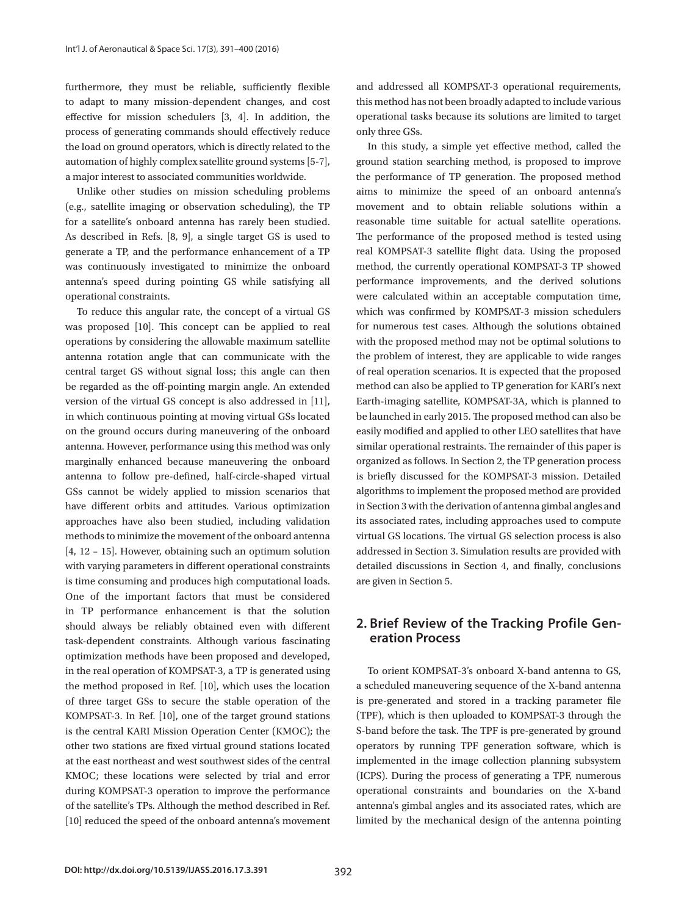furthermore, they must be reliable, sufficiently flexible to adapt to many mission-dependent changes, and cost effective for mission schedulers [3, 4]. In addition, the process of generating commands should effectively reduce the load on ground operators, which is directly related to the automation of highly complex satellite ground systems [5-7], a major interest to associated communities worldwide.

Unlike other studies on mission scheduling problems (e.g., satellite imaging or observation scheduling), the TP for a satellite's onboard antenna has rarely been studied. As described in Refs. [8, 9], a single target GS is used to generate a TP, and the performance enhancement of a TP was continuously investigated to minimize the onboard antenna's speed during pointing GS while satisfying all operational constraints.

To reduce this angular rate, the concept of a virtual GS was proposed [10]. This concept can be applied to real operations by considering the allowable maximum satellite antenna rotation angle that can communicate with the central target GS without signal loss; this angle can then be regarded as the off-pointing margin angle. An extended version of the virtual GS concept is also addressed in [11], in which continuous pointing at moving virtual GSs located on the ground occurs during maneuvering of the onboard antenna. However, performance using this method was only marginally enhanced because maneuvering the onboard antenna to follow pre-defined, half-circle-shaped virtual GSs cannot be widely applied to mission scenarios that have different orbits and attitudes. Various optimization approaches have also been studied, including validation methods to minimize the movement of the onboard antenna [4, 12 – 15]. However, obtaining such an optimum solution with varying parameters in different operational constraints is time consuming and produces high computational loads. One of the important factors that must be considered in TP performance enhancement is that the solution should always be reliably obtained even with different task-dependent constraints. Although various fascinating optimization methods have been proposed and developed, in the real operation of KOMPSAT-3, a TP is generated using the method proposed in Ref. [10], which uses the location of three target GSs to secure the stable operation of the KOMPSAT-3. In Ref. [10], one of the target ground stations is the central KARI Mission Operation Center (KMOC); the other two stations are fixed virtual ground stations located at the east northeast and west southwest sides of the central KMOC; these locations were selected by trial and error during KOMPSAT-3 operation to improve the performance of the satellite's TPs. Although the method described in Ref. [10] reduced the speed of the onboard antenna's movement and addressed all KOMPSAT-3 operational requirements, this method has not been broadly adapted to include various operational tasks because its solutions are limited to target only three GSs.

In this study, a simple yet effective method, called the ground station searching method, is proposed to improve the performance of TP generation. The proposed method aims to minimize the speed of an onboard antenna's movement and to obtain reliable solutions within a reasonable time suitable for actual satellite operations. The performance of the proposed method is tested using real KOMPSAT-3 satellite flight data. Using the proposed method, the currently operational KOMPSAT-3 TP showed performance improvements, and the derived solutions were calculated within an acceptable computation time, which was confirmed by KOMPSAT-3 mission schedulers for numerous test cases. Although the solutions obtained with the proposed method may not be optimal solutions to the problem of interest, they are applicable to wide ranges of real operation scenarios. It is expected that the proposed method can also be applied to TP generation for KARI's next Earth-imaging satellite, KOMPSAT-3A, which is planned to be launched in early 2015. The proposed method can also be easily modified and applied to other LEO satellites that have similar operational restraints. The remainder of this paper is organized as follows. In Section 2, the TP generation process is briefly discussed for the KOMPSAT-3 mission. Detailed algorithms to implement the proposed method are provided in Section 3 with the derivation of antenna gimbal angles and its associated rates, including approaches used to compute virtual GS locations. The virtual GS selection process is also addressed in Section 3. Simulation results are provided with detailed discussions in Section 4, and finally, conclusions are given in Section 5.

### **2. Brief Review of the Tracking Profile Generation Process**

To orient KOMPSAT-3's onboard X-band antenna to GS, a scheduled maneuvering sequence of the X-band antenna is pre-generated and stored in a tracking parameter file (TPF), which is then uploaded to KOMPSAT-3 through the S-band before the task. The TPF is pre-generated by ground operators by running TPF generation software, which is implemented in the image collection planning subsystem (ICPS). During the process of generating a TPF, numerous operational constraints and boundaries on the X-band antenna's gimbal angles and its associated rates, which are limited by the mechanical design of the antenna pointing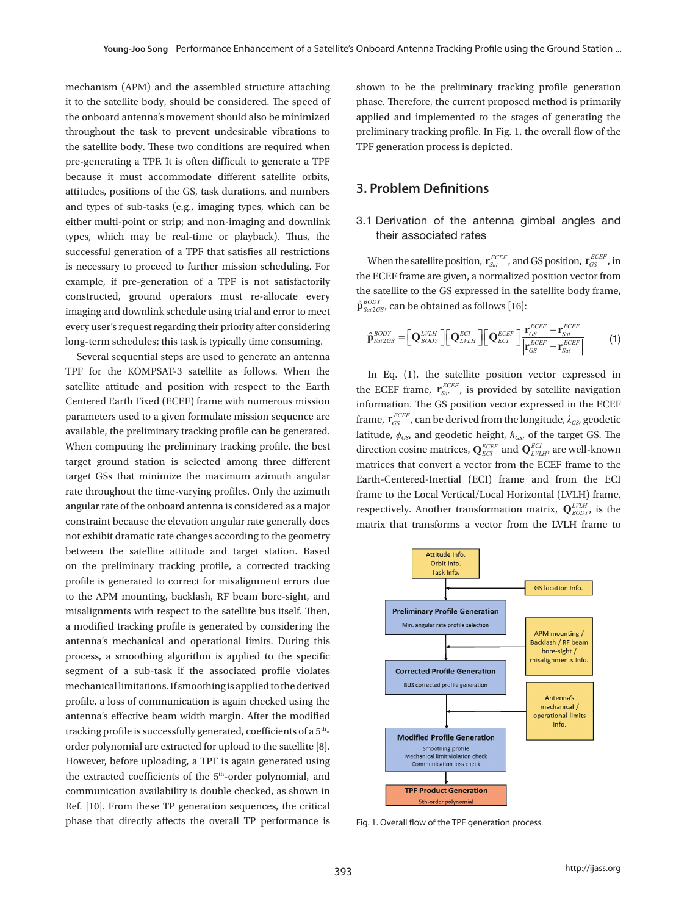mechanism (APM) and the assembled structure attaching it to the satellite body, should be considered. The speed of the onboard antenna's movement should also be minimized throughout the task to prevent undesirable vibrations to the satellite body. These two conditions are required when pre-generating a TPF. It is often difficult to generate a TPF because it must accommodate different satellite orbits, attitudes, positions of the GS, task durations, and numbers **5**. and types of sub-tasks (e.g., imaging types, which can be either multi-point or strip; and non-imaging and downlink types, which may be real-time or playback). Thus, the successful generation of a TPF that satisfies all restrictions is necessary to proceed to further mission scheduling. For example, if pre-generation of a TPF is not satisfactorily the ECE  $\hat{\mathbf{p}}_{\text{nonlinear}}^{\text{nonlinear}}$  and  $\hat{\mathbf{p}}_{\text{nonlinear}}^{\text{nonlinear}}$  and  $\hat{\mathbf{p}}_{\text{S}^{app}}^{\text{nonlinear}}$  and  $\hat{\mathbf{p}}_{\text{S}^{app}}^{\text{nonlinear}}$  and  $\hat{\mathbf{p}}_{\text{S}^{app}}^{\text{nonlinear}}$ constructed, ground operators must re-allocate every the calculate of the imaging and downlink schedule using trial and error to meet  $\hat{\mathbf{p}}_{\text{Sau2GS}}^{\text{BODY}}$ , can be every user's request regarding their priority after considering long-term schedules; this task is typically time consuming. **3. Problem Definitions**   $\frac{1}{2}$  cvci y as  $\frac{1}{2}$ 

Several sequential steps are used to generate an antenna TPF for the KOMPSAT-3 satellite as follows. When the In Eq. (1), the satellite position satellite attitude and position with respect to the Earth the EC<br>Centered Earth Fixed (ECEF) frame with numerous mission **Centered Earth Fixed (ECEF) frame with numerous mission** information. The antenna given and the antenna given by the antenna given and the antenna given by the antenna given by the antenna given by the antenna given by th parameters used to a given formulate mission sequence are available, the preliminary tracking profile can be generated. When computing the preliminary tracking profile, the best target ground station is selected among three different target GSs that minimize the maximum azimuth angular rate throughout the time-varying profiles. Only the azimuth angular rate of the onboard antenna is considered as a major respecti constraint because the elevation angular rate generally does constraint because the elevation angular rate generally does matrix to matrix that exhibit dramatic rate changes according to the geometry between the satellite attitude and target station. Based on the preliminary tracking profile, a corrected tracking profile is generated to correct for misalignment errors due to the APM mounting, backlash, RF beam bore-sight, and misalignments with respect to the satellite bus itself. Then, **position of the preliminary Profile Generation** a modified tracking profile is generated by considering the Min. angular rate profile selectic antenna's mechanical and operational limits. During this process, a smoothing algorithm is applied to the specific **interaction of the target GSS**  $\frac{b^{\text{bore}}}{\text{mis}(\text{left})}$ segment of a sub-task if the associated profile violates **discretized or the Corrected Profile Generation** mechanical limitations. If smoothing is applied to the derived<br>
BUS corrected profile generation profile, a loss of communication is again checked using the antenna's effective beam width margin. After the modified tracking profile is successfully generated, coefficients of a 5<sup>th</sup>-<br>
Modified Profile Generation order polynomial are extracted for upload to the satellite  $[8]$ . However, before uploading, a TPF is again generated using **the communication loss check** the extracted coefficients of the  $5<sup>th</sup>$ -order polynomial, and communication availability is double checked, as shown in  $\sqrt{\frac{TPF\cdot\text{Product}}{TPF\cdot\text{Product}}}$ Ref. [10]. From these TP generation sequences, the critical phase that directly affects the overall TP performance is Using the unit vector 2 ˆ *BODY* **p***Sat GS* , the profile of the antenna gimbal angles, ( )*t* and ( )*t* , which

shown to be the preliminary tracking profile generation phase. Therefore, the current proposed method is primarily applied and implemented to the stages of generating the preliminary tracking profile. In Fig. 1, the overall flow of the TPF generation process is depicted.

### **3. Problem Definitions** *GS*  $\overline{\phantom{a}}$  , in the ECEF frame are given, and are given, and are given, and are given, and are given, and are given, and are given, and are given, and are given, and are given, and are given, and are given, and are

#### non-imaging and downlink 3.1 Derivation of the antenna gimbal angles and their associated rates *GS* **r** , in the ECEF frame are given, a ch be discovered and ch can as follows a factor and contained as follows  $\frac{1}{2}$

When the satellite position,  $\mathbf{r}_{\mathit{Sat}}^{\mathit{ECEF}}$ , and GS position,  $\mathbf{r}_{\mathit{GS}}^{\mathit{ECEF}}$ , in the satellite to the GS expressed in the satellite body frame,<br> $\hat{\mathbf{a}}^{BODY}$  can be obtained as follows [16]. the ECEF frame are given, a normalized position vector from must re-allocate every the satellite to the GS expressed in the satellite body frame<br>ising trial and error to meet  $\hat{\mathbf{p}}_{\text{Sat2GS}}^{\text{BODY}}$ , can be obtained as follows [16]:  $\mathcal{L}$  (1) and  $\mathcal{L}$  (1) and  $\mathcal{L}$  (1) and  $\mathcal{L}$  (1) and  $\mathcal{L}$ *GS Sat*  $\overline{1}$  $\frac{64200}{200}$ 

sidering  
ming. 
$$
\hat{\mathbf{p}}_{\text{Sat2GS}}^{BODY} = \left[ \mathbf{Q}_{BODY}^{LVAL} \right] \left[ \mathbf{Q}_{LVAL}^{ECI} \right] \left[ \mathbf{Q}_{ECI}^{ECEF} \right] \frac{\mathbf{r}_{GS}^{ECEF} - \mathbf{r}_{\text{Sat}}^{ECEF}}{\left| \mathbf{r}_{GS}^{ECEF} - \mathbf{r}_{\text{Sat}}^{ECEF} \right|}
$$
(1)

then the In Eq. (1), the satellite position vector expressed in  $\mathbb{R}^n$  Earth is a norm of  $ECEF$  in the set of the set of the set of the set of the set of the set of the set of the set of the set of the set of the set  $\frac{1}{2}$  the ECEF frame,  $\mathbf{r}_{\text{Sat}}^{\text{ECEF}}$ , is provided by satellite navigation the state of the target GS. The lattitude,  $\phi_{GS}$  and geodetic height,  $h_{GS}$  of the target GS. The matrices that convert a vector from the ECEF frame to the  $\frac{1}{2}$  frame to the Local Vertical/Local Horizontal (LVLH) frame, matrix that transforms a vector from the LVLH frame to ig the preliminary tracking profile, the best<br>tation is selected among three different matrices that convert a vector from the ECEE frame to the maximum azimuth angular Earth-Centered-Inertial (ECI) frame and from the ECI ame with numerous mission information. The GS position vector expressed in the ECEF is profiles. Only the azimuth frame to the Local Vertical/Local Horizontal (LVLH) frame,<br>enna is considered as a major respectively. Another transformation matrix,  $Q_{\text{BODY}}^{LYLH}$ , is the equence are frame,  $\mathbf{r}_{GS}^{ECEF}$ , can be derived from the longitude,  $\lambda_{GS}$ , geodetic



Fig. 1. Overall flow of the TPF generation process.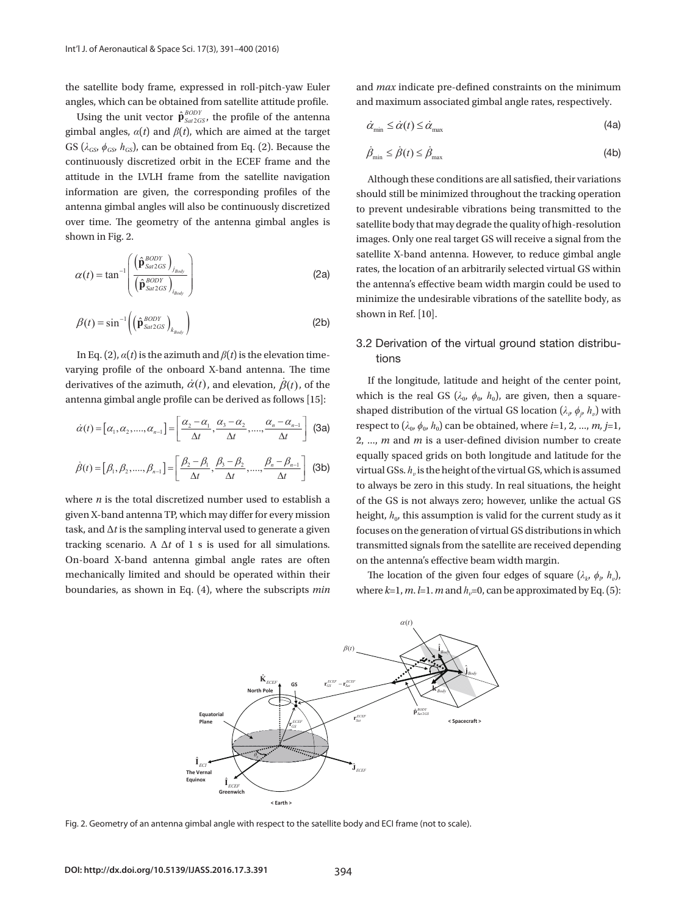the satellite body frame, expressed in roll-pitch-yaw Euler angles, which can be obtained from satellite attitude profile.

Using the unit vector  $\hat{\mathbf{p}}_{\text{Sat2GS}}^{BODY}$ , the profile of the antenna GS ( $\lambda_{GS}$ ,  $\phi_{GS}$ ,  $h_{GS}$ ), can be obtained from Eq. (2). Because the  $\dot{A}$   $\dot{A}$   $\dot{C}$ attitude in the LVLH frame from the satellite navigation although these conditions a information are given, the corresponding profiles of the should still be minimized thro over time. The geometry of the antenna gimbal angles is satellite body that may degree in Fig. 2. **Shown in Fig. 2. Satellite** body that may degree in Fig. 2. **Shown in Fig. 2. <b>Shown** in Fig. 2. **Shown** in Fig. 2. **Show** gimbal angles,  $\alpha(t)$  and  $\beta(t)$ , which are aimed at the target continuously discretized orbit in the ECEF frame and the antenna gimbal angles will also be continuously discretized *BODY* shown in Fig. 2.  $\sim$   $\sim$   $\sim$   $\sim$  $\overline{\mathbf{S}}$  $\mathcal{L}_{\text{max}}$  $\frac{1}{2}$  **b**  $\frac{1}{2}$  **c**  $\frac{1}{2}$  *e*  $\frac{1}{2}$  *t*  $\frac{1}{2}$  *e*  $\frac{1}{2}$  *f*  $\frac{1}{2}$  *f*  $\frac{1}{2}$  *f*  $\frac{1}{2}$  *f*  $\frac{1}{2}$  *f*  $\frac{1}{2}$  *f*  $\frac{1}{2}$  *f*  $\frac{1}{2}$  *f*  $\frac{1}{2}$  *f* a a shekara <u>en al de la p</u>

$$
\alpha(t) = \tan^{-1} \left( \frac{\left( \hat{\mathbf{p}}_{\text{S}a2GS}^{\text{BODY}} \right)_{j_{\text{Body}}}}{\left( \hat{\mathbf{p}}_{\text{S}a2GS}^{\text{BODY}} \right)_{j_{\text{Body}}}} \right)
$$
 statelike X-band antenna  
(2a) state, the location of an  
the antenna's effective  
minimize the undersira

$$
\beta(t) = \sin^{-1}\left(\left(\hat{\mathbf{p}}_{\text{Sat2GS}}^{\text{BODY}}\right)_{k_{\text{Body}}}\right) \tag{2b}
$$
 shown in Ref. [10].

derivatives of the azimuth,  $\dot{\alpha}(t)$ , and elevation,  $\dot{\beta}(t)$ , of the dongitude, latitude and derivatives of the azimuth,  $\dot{\alpha}(t)$ , and elevation,  $\dot{\beta}(t)$ , of the antenna gimbal angle profile can be derived as follows [15]:<br>shaped distribution of the virtu In Eq. (2),  $\alpha(t)$  is the azimuth and  $\beta(t)$  is the elevation time-<br>tions varying profile of the onboard X-band antenna. The time

$$
\dot{\alpha}(t) = [\alpha_1, \alpha_2, \dots, \alpha_{n-1}] = \left[ \frac{\alpha_2 - \alpha_1}{\Delta t}, \frac{\alpha_3 - \alpha_2}{\Delta t}, \dots, \frac{\alpha_n - \alpha_{n-1}}{\Delta t} \right]
$$
 (3a)

$$
\dot{\beta}(t) = [\beta_1, \beta_2, \dots, \beta_{n-1}] = \left[ \frac{\beta_2 - \beta_1}{\Delta t}, \frac{\beta_3 - \beta_2}{\Delta t}, \dots, \frac{\beta_n - \beta_{n-1}}{\Delta t} \right] \text{ (3b)} \quad \text{vi.}
$$

 $\overline{n}$  is the total discretized number used to establish  $\frac{1}{2}$  task, and  $\Delta t$  is the sampling interval used to generate a given focuses on the generation of vi task, and  $\Delta t$  is the sampling interval used to generate a given focuses on the generatio tracking scenario. A  $\Delta t$  of 1 s is used for all simulations. transmitted signals from boundaries, as shown in Eq. (4), where the subscripts  $min$  where  $k=1, m, l=1, m$  and  $h_v=0$ , can where  $n$  is the total discretized number used to establish a of<br>given X-band antenna TP, which may differ for every mission he mechanically limited and should be operated within their The location of the g On-board X-band antenna gimbal angle rates are often

and *max* indicate pre-defined constraints on the minimum and maximum associated gimbal angle rates, respectively. gimbal angle rates, respectively.

$$
\dot{\alpha}_{\min} \le \dot{\alpha}(t) \le \dot{\alpha}_{\max} \tag{4a}
$$

$$
\dot{\beta}_{\min} \le \dot{\beta}(t) \le \dot{\beta}_{\max} \tag{4b}
$$

 $\alpha(t) = \tan^{-1} \left( \frac{\beta_{\text{B}\alpha D}}{\left( \hat{\mathbf{p}}_{\text{S}n2GS}^{\text{B}\text{O}Y} \right)} \right)$  (2a) Tates, the location of an arbitrarily selected virtual GS within (2a) rates, the location of an arbitrarily selected virtual GS within de la construcción de la construcción de la construcción de la construcción de la construcción de la construcción<br>En la construcción de la construcción de la construcción de la construcción de la construcción de la constru of the antenna gimbal angles is a satellite body that may degrade the quality of high-resolution satellite X-band antenna. However, to reduce gimbal angle Although these conditions are all satisfied, their variations to prevent undesirable vibrations being transmitted to the should still be minimized throughout the tracking operation images. Only one real target GS will receive a signal from the minimize the undesirable vibrations of the satellite body, as shown in Ref. [10].

### 3.2 Derivation of the virtual ground station distributions

 $\sum_{i}$  shaped distribution of the virtual GS location ( $\lambda_i$ ,  $\phi_j$ ,  $h_i$ ) with to always be zero in this study<br>where *n* is the total discretized number used to establish a of the GS is not always zero;  $\alpha(t) = [\alpha_1, \alpha_2, ..., \alpha_{n-1}] = \left[\frac{\alpha_2 - \alpha_1}{\Delta t}, \frac{\alpha_3 - \alpha_2}{\Delta t}, ..., \frac{\alpha_n - \alpha_{n-1}}{\Delta t}\right]$  (3a) respect to  $(\lambda_0, \phi_0, h_0)$  can be obtained, where *i*=1, 2, ..., *m*, *j*=1,  $\alpha_1$ ,  $\alpha_2$ ,  $\alpha_3$ ,  $\alpha_4$ ,  $\alpha_5$  and *m* is a user- $\hat{\beta}(t) = [\beta_1, \beta_2, ..., \beta_{n-1}] = \left| \frac{\beta_2 - \beta_1}{\Delta t}, \frac{\beta_3 - \beta_2}{\Delta t}, ..., \frac{\beta_n - \beta_{n-1}}{\Delta t} \right|$  (3b) virtual GSs.  $h_\nu$  is the height of the virtual GS, which is assumed If the longitude, latitude and height of the center point, which is the real GS ( $\lambda_0$ ,  $\phi_0$ ,  $h_0$ ), are given, then a square-2, ..., *m* and *m* is a user-defined division number to create equally spaced grids on both longitude and latitude for the to always be zero in this study. In real situations, the height of the GS is not always zero; however, unlike the actual GS height,  $h_0$ , this assumption is valid for the current study as it focuses on the generation of virtual GS distributions in which transmitted signals from the satellite are received depending on the antenna's effective beam width margin.

> The location of the given four edges of square  $(\lambda_k, \phi_l, h_v)$ , where  $k=1$ ,  $m$ .  $l=1$ .  $m$  and  $h_v=0$ , can be approximated by Eq. (5):



Fig. 2. Geometry of an antenna gimbal angle with respect to the satellite body and ECI frame (not to scale).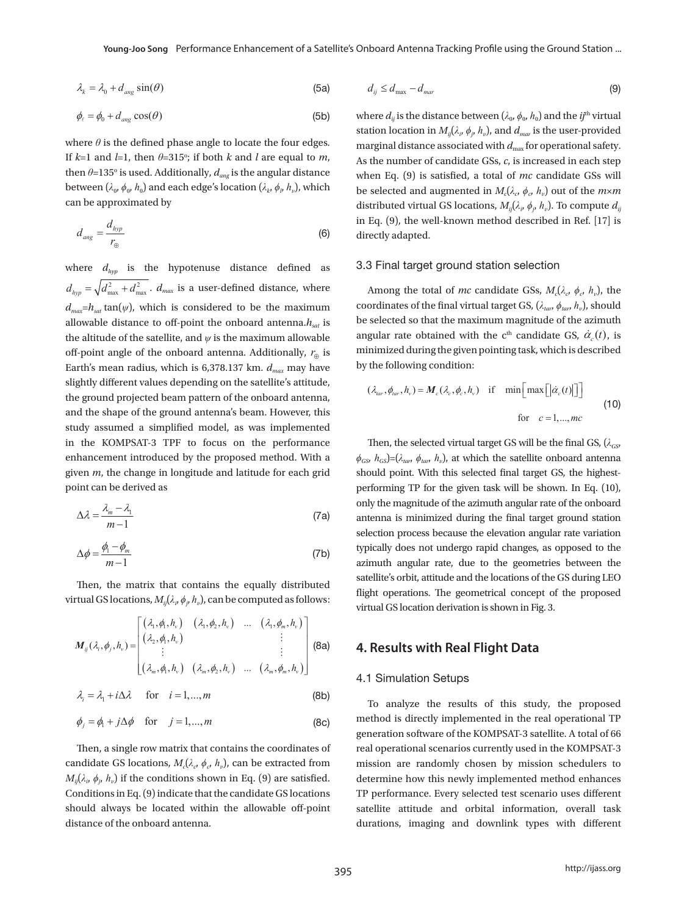$$
\lambda_k = \lambda_0 + d_{\text{ang}} \sin(\theta) \tag{5a} \qquad \qquad d_{ij} \le d_{\text{max}} - d_{\text{max}}
$$

$$
\phi_{\ell} = \phi_0 + d_{ang} \cos(\theta) \tag{5b}
$$

then  $\theta$ =135° is used. Additionally,  $d_{ang}$  is the angular distance when Eq. (9) is satisfied, a to can be approximated by where  $\theta$  is the defined phase angle to locate the four edges. If  $k=1$  and  $l=1$ , then  $\theta=315^\circ$ ; if both  $k$  and  $l$  are equal to  $m$ , between ( $\lambda_0$ ,  $\phi_0$ ,  $h_0$ ) and each edge's location ( $\lambda_k$ ,  $\phi_p$ ,  $h_v$ ), which be selected and augmented in

$$
d_{\text{ang}} = \frac{d_{\text{hyp}}}{r_{\oplus}}
$$
 (6) the well-known met  
(6) directly adapted.

 $d_{hyp} = \sqrt{d_{max}^2 + d_{max}^2}$ .  $d_{max}$  is a user-defined distance, where Among the total of mc candid allowable distance to off-point the onboard antenna. $h_{sat}$  is be selected so that the maximum allowable distance to off-point the onboard antenna. off-point angle of the onboard antenna. Additionally,  $r_{\oplus}$  is minimized during the given pointing the given slightly different values depending on the satellite's attitude,<br>  $(\lambda, \phi, h) = M(\lambda, \phi, h)$  if and the shape of the ground antenna's beam. However, this in the KOMPSAT-3 TPF to focus on the performance Then, the selected virtual target therefore the studies as the proposed model. When  $\psi_{GS}^{BS-1}$   $\psi_{GS}^{BS-1}$   $\psi_{tan}^{BB-1}$   $\psi_{D}^{B}$ , at which where  $d_{hyp}$  is the hypotenuse distance defined as 3.3 Final target ground stat and the shape of the ground antenna's beam. However, this<br>study assumed a simplified model, as was implemented<br>in the KOMBSAT 2. TBE to focus on the performance. Then the selected virtual target enhancement introduced by the proposed method. With a  $\phi_{GS}$ ,  $h_{GS}$ )=( $\lambda_{tar}$ ,  $h_v$ ), at which the enhancement introduced by the proposed method. With a  $\phi_{GS}$ ,  $h_{GS}$ )=( $\lambda_{tan}$ ,  $\phi_{tan}$ ,  $h_v$ )<br>given *m*, the change in longitude and latitude for each grid should point. With  $d_{max} = h_{sat} \tan(\psi)$ , which is considered to be the maximum coordinates of the final virtual t the altitude of the satellite, and  $\psi$  is the maximum allowable angular rate obtained with the Earth's mean radius, which is 6,378.137 km.  $d_{max}$  may have by the following condition: the ground projected beam pattern of the onboard antenna,<br>the  $(\lambda_{tar}, \phi_{tar}, h_v) = M_c(\lambda_c, \phi_c, h_v)$  if point can be derived as  $\frac{f(x)}{f(x)}$ this studied radius, which is 0,070.107 Km,  $u_{max}$  may have

$$
\Delta \lambda = \frac{\lambda_m - \lambda_1}{m - 1}
$$
 (7a) (7b) The magnitude of the magnitude of the equation.

$$
\Delta \phi = \frac{\phi_1 - \phi_m}{m - 1}
$$
 (7b) typically does not undergo ray  
azimuth angular rate, due to  
satellite's orbit. attitude and the

11. metric of the contains the equally distributed  $\frac{f}{f}$  and  $\frac{f}{f}$  and  $\frac{f}{f}$   $\frac{f}{f}$  and  $\frac{f}{f}$   $\frac{f}{f}$   $\frac{f}{f}$   $\frac{f}{f}$   $\frac{f}{f}$   $\frac{f}{f}$   $\frac{f}{f}$   $\frac{f}{f}$   $\frac{f}{f}$   $\frac{f}{f}$   $\frac{f}{f}$   $\frac{f}{f}$ 

$$
M_{ij}(\lambda_i, \phi_j, h_v) = \begin{bmatrix} (\lambda_1, \phi_1, h_v) & (\lambda_1, \phi_2, h_v) & \dots & (\lambda_1, \phi_m, h_v) \\ (\lambda_2, \phi_1, h_v) & \vdots & \vdots \\ (\lambda_m, \phi_1, h_v) & (\lambda_m, \phi_2, h_v) & \dots & (\lambda_m, \phi_m, h_v) \end{bmatrix}
$$
\n(8a)  
\n**4. Results with Real Flight Data**

$$
\lambda_i = \lambda_1 + i\Delta\lambda \quad \text{for} \quad i = 1,...,m
$$
 (8b) To analyze the results of this study, the proposed

$$
\phi_j = \phi_1 + j\Delta\phi \quad \text{for} \quad j = 1, ..., m \tag{8c}
$$

w matrix that contains the coordinates of candidate GS locations,  $M_c(\lambda_c, \phi_c, h_v)$ , can be extracted from 1 2 , , , , ... , , *m v m v mmv hh h m v m v mmv* Conditions in Eq. (9) indicate that the candidate GS locations candidate GS locations,  $M_c(\lambda_o, \phi_o, h_v)$ , can be extracted from mission are randomly chosen<br>  $M_{ij}(\lambda_o, \phi_p, h_v)$  if the conditions shown in Eq. (9) are satisfied. determine how this newly imp  $iv_ij(\lambda_i, \varphi)$  $M_{ij}$  $IVI_{i}$  $\Gamma$ should always be located within the allowable off-point satellite attitude and orbital  $\mathcal{L}_{\mathcal{L}}$  indicate that the candidate GS locations showled within the allowable of  $\mathcal{L}_{\mathcal{L}}$ Eq. (9) indicate the candidate the candidate GS located with the allowable of the allowable of the allowable of distance of the onboard antenna.

$$
d_{ij} \leq d_{\text{max}} - d_{\text{max}} \tag{9}
$$

 $\phi_{\ell} = \phi_0 + d_{ang} \cos(\theta)$  (5b) where  $d_{ij}$  is the distance between  $(\lambda_0, \phi_0, h_0)$  and the *ij*<sup>th</sup> virtual distance when Eq. (9) is satisfied, a total of mc candidate GSs will proximated by<br>proximated by<br>distributed virtual GS locations,  $M_{ij}( \lambda_i, \phi_j, h_{\nu})$ . To compute  $d_{ij}$ *h*  $\ldots$   $\ldots$   $\ldots$   $\ldots$   $\ldots$   $\ldots$   $\ldots$ in Eq.  $(9)$ , the well-known method described in Ref. [17] is marginal distance associated with  $d_{\text{max}}$  for operational safety. station location in  $M_{ij}(\lambda_v, \phi_p, h_v)$ , and  $d_{max}$  is the user-provided  $\frac{1}{2}$  and  $\frac{1}{2}$  and  $\frac{1}{2}$  and  $\frac{1}{2}$  are associated with  $\frac{1}{2}$  and  $\frac{1}{2}$  by polarismic stress. be selected and augmented in  $M_c(\lambda_c, \phi_c, h_v)$  out of the  $m \times m$  $\sqrt{2}$  (Fig. )  $\sqrt{2}$  (Fig. )  $\sqrt{2}$  (Fig. )  $\sqrt{2}$  (Fig. )  $\sqrt{2}$  (Fig. )  $\sqrt{2}$  (Fig. )  $\sqrt{2}$  (Fig. )  $\sqrt{2}$  (Fig. )  $\sqrt{2}$  (Fig. )  $\sqrt{2}$  (Fig. )  $\sqrt{2}$  (Fig. )  $\sqrt{2}$  (Fig. )  $\sqrt{2}$  (Fig. )  $\sqrt{2}$  (Fig.

### as 3.3 Final target ground station selection

ximum coordinates of the final virtual target GS,  $(\lambda_{tan}, \phi_{tar}, h_v)$ , should  $\text{na}.h_{\text{sat}}$  is be selected so that the maximum magnitude of the azimuth and the given pointing task, which is described<br>ly,  $r_{\oplus}$  is minimized during the given pointing task, which is described Among the total of mc candidate GSs,  $M_c(\lambda_o, \phi_o, h_v)$ , the angular rate obtained with the c<sup>th</sup> candidate GS,  $\dot{\alpha}_c(t)$ , is by the following condition:

$$
\begin{array}{ll}\n\text{attribute,} \\
\text{antenna,} \\
\text{over, this} \\
\text{currented}\n\end{array}\n\quad\n(\lambda_{tar}, \phi_{tar}, h_v) = M_c(\lambda_c, \phi_c, h_v) \quad \text{if} \quad \min\left[\max\left[|\dot{\alpha}_c(t)|\right]\right] \\
\text{for} \quad c = 1, \dots, mc\n\end{array}\n\tag{10}
$$

performing TP for the given task will be shown. In Eq. (10),  $m-1$  azimum angular rate, due to the matrix that contains the equally distributed satellite's orbit, attitude and the local satellite's orbit, attitude and the local satellite's orbit, attitude and the local satellite's  $m-1$ <br>
selection process because the elevation angular rate variation<br>  $\phi - \phi$  $\Delta \lambda = \frac{\lambda_m - \lambda_1}{m-1}$  (7a) only the magnitude of the azimuth angular rate of the onboard antenna is minimized during the final target ground station  $\Delta \phi = \frac{\phi_1 - \phi_m}{m-1}$  (7b) typically does not undergo rapid changes, as opposed to the azimuth angular rate, due to the geometries between the virtual GS location derivation is shown in Fig. 3. Then, the selected virtual target GS will be the final GS, ( $\lambda_{\rm \scriptscriptstyle GS}$  $\phi_{GS}$ ,  $h_{GS}$ )=( $\lambda_{tar}$ ,  $\phi_{tar}$ ,  $h_v$ ), at which the satellite onboard antenna should point. With this selected final target GS, the highestonly the magnitude of the azimuth angular rate of the onboard typically does not undergo rapid changes, as opposed to the satellite's orbit, attitude and the locations of the GS during LEO flight operations. The geometrical concept of the proposed

### 4.1 Simulation Setups

<sup>1</sup> To analyze the results of<br>  $\phi_j = \phi_1 + j\Delta\phi$  for  $j = 1,...,m$  (8c) method is directly implemented<br>
Then, a single row matrix that contains the coordinates of real operational scenarios current<br>
12.........................  $\phi_j = \phi_1 + j\Delta\phi$  for  $j = 1,..., m$  (8c) method is directly implemented in the real operational TP generation software of the KOMPSAT-3 satellite. A total of 66 real operational scenarios currently used in the KOMPSAT-3 mission are randomly chosen by mission schedulers to determine how this newly implemented method enhances TP performance. Every selected test scenario uses different satellite attitude and orbital information, overall task durations, imaging and downlink types with different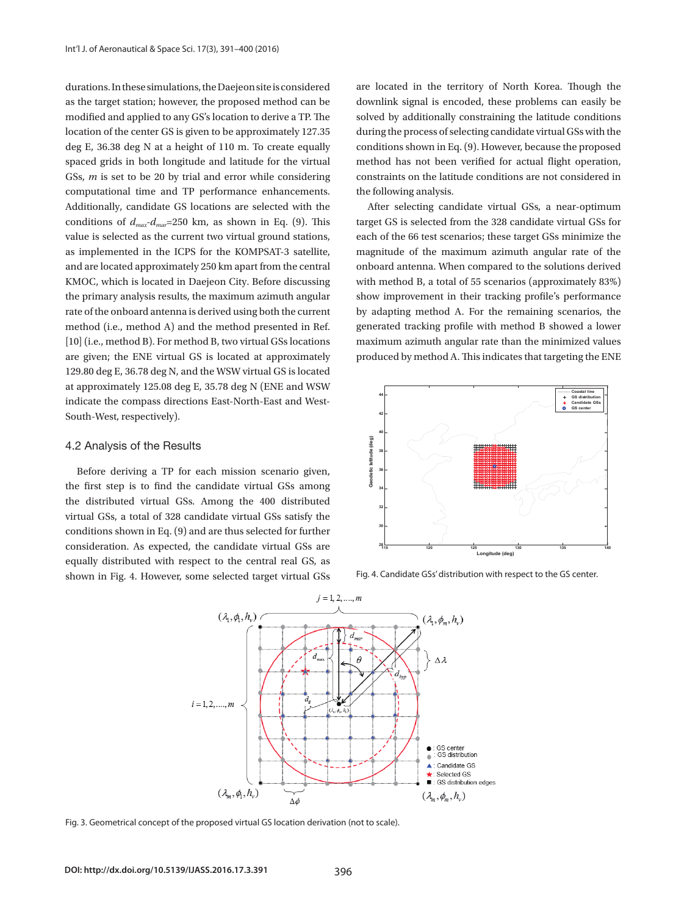durations. In these simulations, the Daejeon site is considered as the target station; however, the proposed method can be modified and applied to any GS's location to derive a TP. The location of the center GS is given to be approximately 127.35 deg E, 36.38 deg N at a height of 110 m. To create equally spaced grids in both longitude and latitude for the virtual GSs, *m* is set to be 20 by trial and error while considering computational time and TP performance enhancements. Additionally, candidate GS locations are selected with the conditions of  $d_{\text{max}}-d_{\text{max}}=250$  km, as shown in Eq. (9). This value is selected as the current two virtual ground stations, as implemented in the ICPS for the KOMPSAT-3 satellite, and are located approximately 250 km apart from the central KMOC, which is located in Daejeon City. Before discussing the primary analysis results, the maximum azimuth angular rate of the onboard antenna is derived using both the current method (i.e., method A) and the method presented in Ref. [10] (i.e., method B). For method B, two virtual GSs locations are given; the ENE virtual GS is located at approximately 129.80 deg E, 36.78 deg N, and the WSW virtual GS is located at approximately 125.08 deg E, 35.78 deg N (ENE and WSW indicate the compass directions East-North-East and West-South-West, respectively).

### 4.2 Analysis of the Results

Before deriving a TP for each mission scenario given, the first step is to find the candidate virtual GSs among the distributed virtual GSs. Among the 400 distributed virtual GSs, a total of 328 candidate virtual GSs satisfy the conditions shown in Eq. (9) and are thus selected for further consideration. As expected, the candidate virtual GSs are equally distributed with respect to the central real GS, as shown in Fig. 4. However, some selected target virtual GSs

are located in the territory of North Korea. Though the downlink signal is encoded, these problems can easily be solved by additionally constraining the latitude conditions during the process of selecting candidate virtual GSs with the conditions shown in Eq. (9). However, because the proposed method has not been verified for actual flight operation, constraints on the latitude conditions are not considered in the following analysis.

After selecting candidate virtual GSs, a near-optimum target GS is selected from the 328 candidate virtual GSs for each of the 66 test scenarios; these target GSs minimize the magnitude of the maximum azimuth angular rate of the onboard antenna. When compared to the solutions derived with method B, a total of 55 scenarios (approximately 83%) show improvement in their tracking profile's performance by adapting method A. For the remaining scenarios, the generated tracking profile with method B showed a lower maximum azimuth angular rate than the minimized values produced by method A. This indicates that targeting the ENE



Fig. 4. Candidate GSs' distribution with respect to the GS center.



Fig. 3. Geometrical concept of the proposed virtual GS location derivation (not to scale).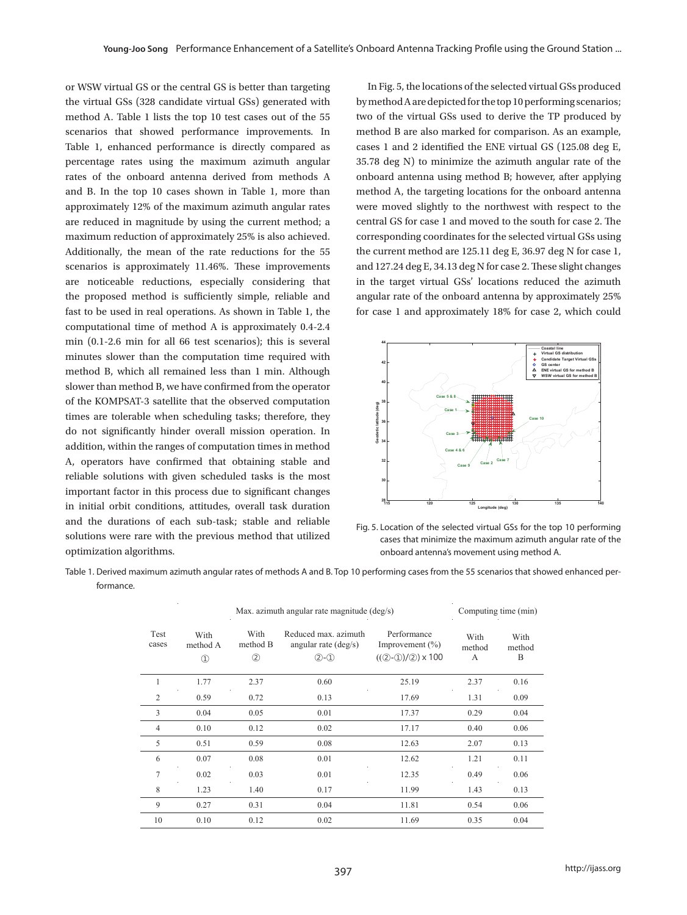or WSW virtual GS or the central GS is better than targeting the virtual GSs (328 candidate virtual GSs) generated with method A. Table 1 lists the top 10 test cases out of the 55 scenarios that showed performance improvements. In Table 1, enhanced performance is directly compared as percentage rates using the maximum azimuth angular rates of the onboard antenna derived from methods A and B. In the top 10 cases shown in Table 1, more than approximately 12% of the maximum azimuth angular rates are reduced in magnitude by using the current method; a maximum reduction of approximately 25% is also achieved. Additionally, the mean of the rate reductions for the 55 scenarios is approximately 11.46%. These improvements are noticeable reductions, especially considering that the proposed method is sufficiently simple, reliable and fast to be used in real operations. As shown in Table 1, the computational time of method A is approximately 0.4-2.4 min (0.1-2.6 min for all 66 test scenarios); this is several minutes slower than the computation time required with method B, which all remained less than 1 min. Although slower than method B, we have confirmed from the operator of the KOMPSAT-3 satellite that the observed computation times are tolerable when scheduling tasks; therefore, they do not significantly hinder overall mission operation. In addition, within the ranges of computation times in method A, operators have confirmed that obtaining stable and reliable solutions with given scheduled tasks is the most important factor in this process due to significant changes in initial orbit conditions, attitudes, overall task duration and the durations of each sub-task; stable and reliable solutions were rare with the previous method that utilized optimization algorithms.

In Fig. 5, the locations of the selected virtual GSs produced by method A are depicted for the top 10 performing scenarios; two of the virtual GSs used to derive the TP produced by method B are also marked for comparison. As an example, cases 1 and 2 identified the ENE virtual GS (125.08 deg E, 35.78 deg N) to minimize the azimuth angular rate of the onboard antenna using method B; however, after applying method A, the targeting locations for the onboard antenna were moved slightly to the northwest with respect to the central GS for case 1 and moved to the south for case 2. The corresponding coordinates for the selected virtual GSs using the current method are 125.11 deg E, 36.97 deg N for case 1, and 127.24 deg E, 34.13 deg N for case 2. These slight changes in the target virtual GSs' locations reduced the azimuth angular rate of the onboard antenna by approximately 25% for case 1 and approximately 18% for case 2, which could



Fig. 5. Location of the selected virtual GSs for the top 10 performing cases that minimize the maximum azimuth angular rate of the onboard antenna's movement using method A.

Table 1. Derived maximum azimuth angular rates of methods A and B. Top 10 performing cases from the 55 scenarios that showed enhanced performance. the 55 scenarios that showed enhanced performance.

| <b>Test</b><br>cases | With<br>method A<br>$\circled{1}$ | With<br>method B<br>(2) | Reduced max. azimuth<br>angular rate $(\text{deg/s})$<br>$(2)-(1)$ | Performance<br>Improvement $(\% )$<br>$((2-1)/2) \times 100$ | With<br>method<br>A | With<br>method<br>B |
|----------------------|-----------------------------------|-------------------------|--------------------------------------------------------------------|--------------------------------------------------------------|---------------------|---------------------|
|                      | 1.77                              | 2.37                    | 0.60                                                               | 25.19                                                        | 2.37                | 0.16                |
| 2                    | 0.59                              | 0.72                    | 0.13                                                               | 17.69                                                        | 1.31                | 0.09                |
| 3                    | 0.04                              | 0.05                    | 0.01                                                               | 17.37                                                        | 0.29                | 0.04                |
| 4                    | 0.10                              | 0.12                    | 0.02                                                               | 17.17                                                        | 0.40                | 0.06                |
| 5                    | 0.51                              | 0.59                    | 0.08                                                               | 12.63                                                        | 2.07                | 0.13                |
| 6                    | 0.07                              | 0.08                    | 0.01                                                               | 12.62                                                        | 1.21                | 0.11                |
| 7                    | 0.02                              | 0.03                    | 0.01                                                               | 12.35                                                        | 0.49                | 0.06                |
| 8                    | 1.23                              | 1.40                    | 0.17                                                               | 11.99                                                        | 1.43                | 0.13                |
| $\overline{Q}$       | 0.27                              | 0.31                    | 0.04                                                               | 11.81                                                        | 0.54                | 0.06                |
| 10                   | 0.10                              | 0.12                    | 0.02                                                               | 11.69                                                        | 0.35                | 0.04                |

Max. azimuth angular rate magnitude (deg/s) Computing time (min)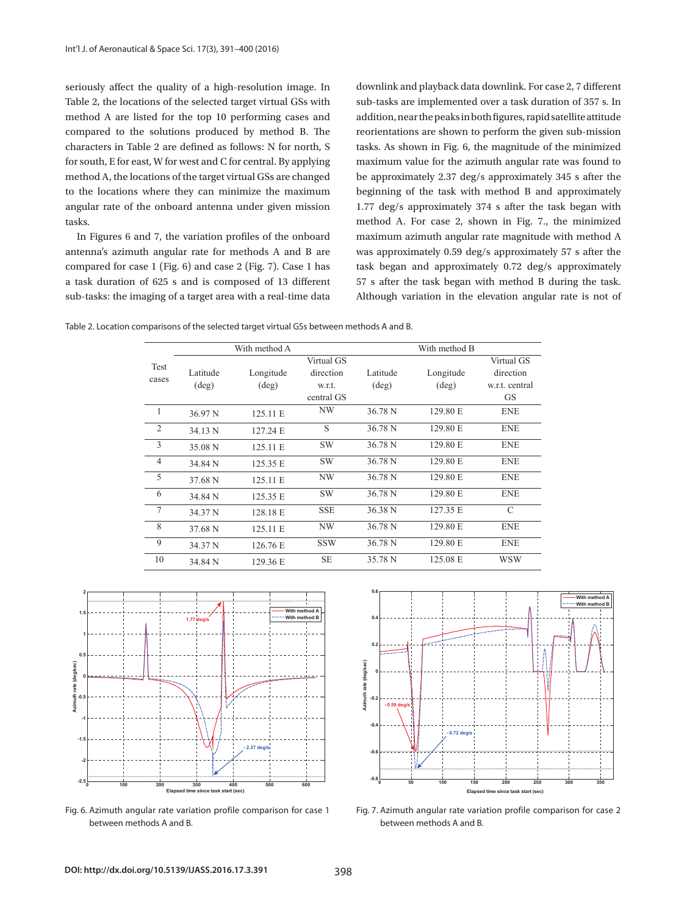seriously affect the quality of a high-resolution image. In Table 2, the locations of the selected target virtual GSs with method A are listed for the top 10 performing cases and compared to the solutions produced by method B. The characters in Table 2 are defined as follows: N for north, S tasks. As shown in Fig. 6, the magnitude for south, E for east, W for west and C for central. By applying maximum value for the azimuth angu method A, the locations of the target virtual GSs are changed be approximately 2.37 deg/s approxin to the locations where they can minimize the maximum angular rate of the onboard antenna under given mission 1.77 deg/s approximately 374 s after tasks. e quality of a y or a n  $\mathbb{R}^n$ resolut<mark>i</mark> Reduced max. azimuth anage. In the control

In Figures 6 and 7, the variation profiles of the onboard antenna's azimuth angular rate for methods A and B are vas approximately 0.59 deg/s approxi compared for case  $1$  (Fig. 6) and case  $2$  (Fig. 7). Case  $1$  has task began and approximately 0.72 a task duration of 625 s and is composed of 13 different sub-tasks: the imaging of a target area with a real-time data

downlink and playback data downlink. For case 2, 7 different sub-tasks are implemented over a task duration of 357 s. In addition, near the peaks in both figures, rapid satellite attitude reorientations are shown to perform the given sub-mission solutions produced by method B. The reorientations are shown to perform the given sub-mission tasks. As shown in Fig. 6, the magnitude of the minimized maximum value for the azimuth angular rate was found to be approximately 2.37 deg/s approximately 345 s after the here they can minimize the maximum beginning of the task with method B and approximately 1.77 deg/s approximately 374 s after the task began with method A. For case 2, shown in Fig. 7., the minimized 7, the variation profiles of the onboard maximum azimuth angular rate magnitude with method A was approximately 0.59 deg/s approximately 57 s after the task began and approximately 0.72 deg/s approximately 57 s after the task began with method B during the task. Although variation in the elevation angular rate is not of nlink and playback data ada u  $\sinh$ min.<br>'

Table 2. Location comparisons of the selected target virtual GSs between methods A and B. Table 2. Location comparisons of the selected target virtual GSs between methods A and B.

|                |          | With method A  |            |                    | With method B  |                |
|----------------|----------|----------------|------------|--------------------|----------------|----------------|
| <b>Test</b>    |          |                | Virtual GS |                    |                | Virtual GS     |
| cases          | Latitude | Longitude      | direction  | Latitude           | Longitude      | direction      |
|                | (deg)    | $(\text{deg})$ | w.r.t.     | $(\text{deg})$     | $(\text{deg})$ | w.r.t. central |
|                |          |                | central GS |                    |                | <b>GS</b>      |
| 1              | 36.97 N  | 125.11 E       | <b>NW</b>  | 36.78 N            | 129.80 E       | <b>ENE</b>     |
| $\overline{2}$ | 34.13 N  | 127.24 E       | S          | 36.78 N            | 129.80 E       | <b>ENE</b>     |
| 3              | 35.08 N  | 125.11 E       | <b>SW</b>  | 36.78 N            | 129.80 E       | <b>ENE</b>     |
| $\overline{4}$ | 34.84 N  | 125.35 E       | <b>SW</b>  | 36.78 N            | 129.80 E       | <b>ENE</b>     |
| 5              | 37.68 N  | 125.11 E       | NW         | 36.78 N            | 129.80 E       | <b>ENE</b>     |
| 6              | 34.84 N  | 125.35 E       | <b>SW</b>  | 36.78 N            | 129.80 E       | <b>ENE</b>     |
| 7              | 34.37 N  | 128.18 E       | <b>SSE</b> | 36.38 <sub>N</sub> | 127.35 E       | $\mathcal{C}$  |
| 8              | 37.68 N  | 125.11 E       | NW         | 36.78 N            | 129.80 E       | <b>ENE</b>     |
| 9              | 34.37 N  | 126.76 E       | <b>SSW</b> | 36.78 N            | 129.80 E       | <b>ENE</b>     |
| 10             | 34.84 N  | 129.36 E       | <b>SE</b>  | 35.78 N            | 125.08 E       | <b>WSW</b>     |



Fig. 6. Azimuth angular rate variation profile comparison for case 1 between methods A and B.



between methods A and B. Fig. 7. Azimuth angular rate variation profile comparison for case 2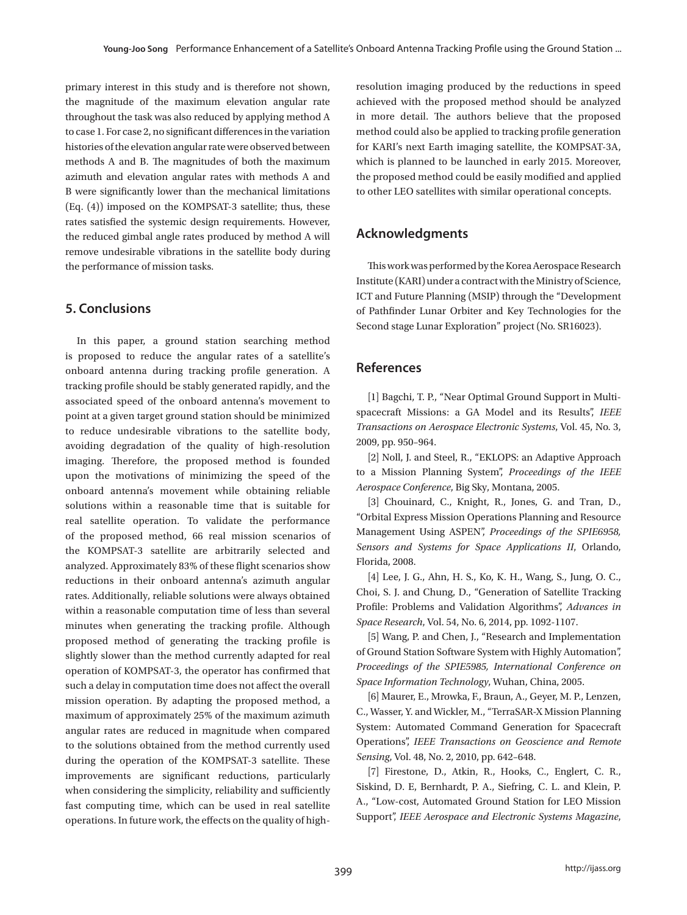primary interest in this study and is therefore not shown, the magnitude of the maximum elevation angular rate throughout the task was also reduced by applying method A to case 1. For case 2, no significant differences in the variation histories of the elevation angular rate were observed between methods A and B. The magnitudes of both the maximum azimuth and elevation angular rates with methods A and B were significantly lower than the mechanical limitations (Eq. (4)) imposed on the KOMPSAT-3 satellite; thus, these rates satisfied the systemic design requirements. However, the reduced gimbal angle rates produced by method A will remove undesirable vibrations in the satellite body during the performance of mission tasks.

### **5. Conclusions**

In this paper, a ground station searching method is proposed to reduce the angular rates of a satellite's onboard antenna during tracking profile generation. A tracking profile should be stably generated rapidly, and the associated speed of the onboard antenna's movement to point at a given target ground station should be minimized to reduce undesirable vibrations to the satellite body, avoiding degradation of the quality of high-resolution imaging. Therefore, the proposed method is founded upon the motivations of minimizing the speed of the onboard antenna's movement while obtaining reliable solutions within a reasonable time that is suitable for real satellite operation. To validate the performance of the proposed method, 66 real mission scenarios of the KOMPSAT-3 satellite are arbitrarily selected and analyzed. Approximately 83% of these flight scenarios show reductions in their onboard antenna's azimuth angular rates. Additionally, reliable solutions were always obtained within a reasonable computation time of less than several minutes when generating the tracking profile. Although proposed method of generating the tracking profile is slightly slower than the method currently adapted for real operation of KOMPSAT-3, the operator has confirmed that such a delay in computation time does not affect the overall mission operation. By adapting the proposed method, a maximum of approximately 25% of the maximum azimuth angular rates are reduced in magnitude when compared to the solutions obtained from the method currently used during the operation of the KOMPSAT-3 satellite. These improvements are significant reductions, particularly when considering the simplicity, reliability and sufficiently fast computing time, which can be used in real satellite operations. In future work, the effects on the quality of highresolution imaging produced by the reductions in speed achieved with the proposed method should be analyzed in more detail. The authors believe that the proposed method could also be applied to tracking profile generation for KARI's next Earth imaging satellite, the KOMPSAT-3A, which is planned to be launched in early 2015. Moreover, the proposed method could be easily modified and applied to other LEO satellites with similar operational concepts.

### **Acknowledgments**

This work was performed by the Korea Aerospace Research Institute (KARI) under a contract with the Ministry of Science, ICT and Future Planning (MSIP) through the "Development of Pathfinder Lunar Orbiter and Key Technologies for the Second stage Lunar Exploration" project (No. SR16023).

### **References**

[1] Bagchi, T. P., "Near Optimal Ground Support in Multispacecraft Missions: a GA Model and its Results", *IEEE Transactions on Aerospace Electronic Systems*, Vol. 45, No. 3, 2009, pp. 950–964.

[2] Noll, J. and Steel, R., "EKLOPS: an Adaptive Approach to a Mission Planning System", *Proceedings of the IEEE Aerospace Conference*, Big Sky, Montana, 2005.

[3] Chouinard, C., Knight, R., Jones, G. and Tran, D., "Orbital Express Mission Operations Planning and Resource Management Using ASPEN", *Proceedings of the SPIE6958, Sensors and Systems for Space Applications II*, Orlando, Florida, 2008.

[4] Lee, J. G., Ahn, H. S., Ko, K. H., Wang, S., Jung, O. C., Choi, S. J. and Chung, D., "Generation of Satellite Tracking Profile: Problems and Validation Algorithms", *Advances in Space Research*, Vol. 54, No. 6, 2014, pp. 1092-1107.

[5] Wang, P. and Chen, J., "Research and Implementation of Ground Station Software System with Highly Automation", *Proceedings of the SPIE5985, International Conference on Space Information Technology*, Wuhan, China, 2005.

[6] Maurer, E., Mrowka, F., Braun, A., Geyer, M. P., Lenzen, C., Wasser, Y. and Wickler, M., "TerraSAR-X Mission Planning System: Automated Command Generation for Spacecraft Operations", *IEEE Transactions on Geoscience and Remote Sensing*, Vol. 48, No. 2, 2010, pp. 642–648.

[7] Firestone, D., Atkin, R., Hooks, C., Englert, C. R., Siskind, D. E, Bernhardt, P. A., Siefring, C. L. and Klein, P. A., "Low-cost, Automated Ground Station for LEO Mission Support", *IEEE Aerospace and Electronic Systems Magazine*,